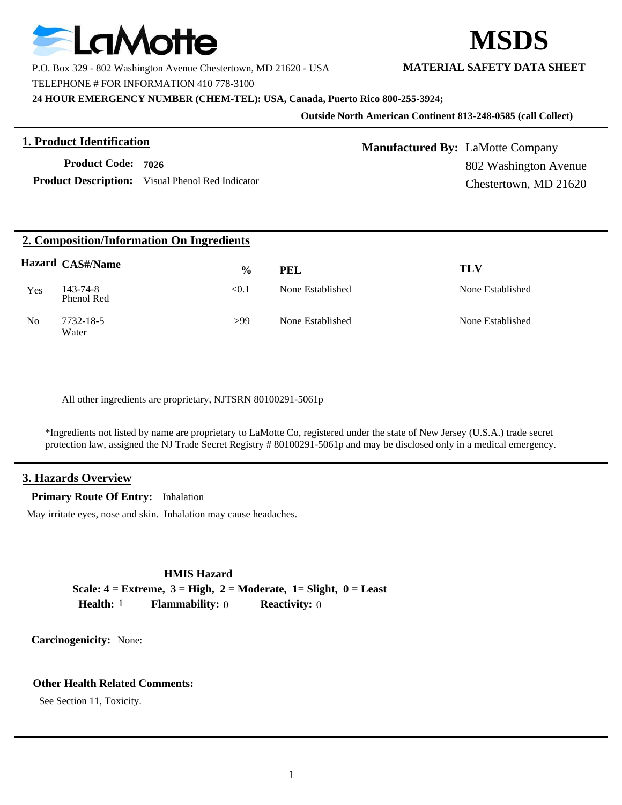

P.O. Box 329 - 802 Washington Avenue Chestertown, MD 21620 - USA **MATERIAL SAFETY DATA SHEET**

TELEPHONE # FOR INFORMATION 410 778-3100

**24 HOUR EMERGENCY NUMBER (CHEM-TEL): USA, Canada, Puerto Rico 800-255-3924;**

#### **Outside North American Continent 813-248-0585 (call Collect)**

## **1. Product Identification**

**Product Code: 7026**

Product Description: Visual Phenol Red Indicator

# **Manufactured By:** LaMotte Company 802 Washington Avenue Chestertown, MD 21620

## **2. Composition/Information On Ingredients**

|                | <b>Hazard CAS#/Name</b> | $\frac{6}{9}$ | PEL              | TLV              |
|----------------|-------------------------|---------------|------------------|------------------|
| Yes            | 143-74-8<br>Phenol Red  | < 0.1         | None Established | None Established |
| N <sub>0</sub> | 7732-18-5<br>Water      | >99           | None Established | None Established |

All other ingredients are proprietary, NJTSRN 80100291-5061p

\*Ingredients not listed by name are proprietary to LaMotte Co, registered under the state of New Jersey (U.S.A.) trade secret protection law, assigned the NJ Trade Secret Registry # 80100291-5061p and may be disclosed only in a medical emergency.

## **3. Hazards Overview**

**Primary Route Of Entry:** Inhalation

May irritate eyes, nose and skin. Inhalation may cause headaches.

**HMIS Hazard Scale: 4 = Extreme, 3 = High, 2 = Moderate, 1= Slight, 0 = Least Health:** 1 **Flammability:** 0 **Reactivity:** 0

**Carcinogenicity:** None:

## **Other Health Related Comments:**

See Section 11, Toxicity.

**MSDS**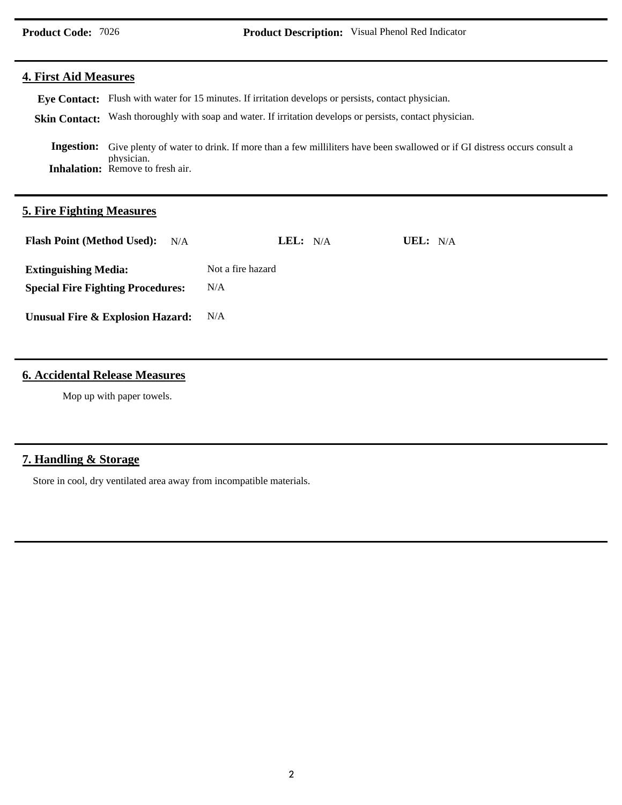## **4. First Aid Measures**

Eye Contact: Flush with water for 15 minutes. If irritation develops or persists, contact physician.

Skin Contact: Wash thoroughly with soap and water. If irritation develops or persists, contact physician.

**Inhalation:** Remove to fresh air. Ingestion: Give plenty of water to drink. If more than a few milliliters have been swallowed or if GI distress occurs consult a physician.

## **5. Fire Fighting Measures**

| <b>Flash Point (Method Used):</b><br>N/A | LEL: N/A          | UEL: $N/A$ |
|------------------------------------------|-------------------|------------|
| <b>Extinguishing Media:</b>              | Not a fire hazard |            |
| <b>Special Fire Fighting Procedures:</b> | N/A               |            |
| Unusual Fire & Explosion Hazard:         | N/A               |            |

## **6. Accidental Release Measures**

Mop up with paper towels.

## **7. Handling & Storage**

Store in cool, dry ventilated area away from incompatible materials.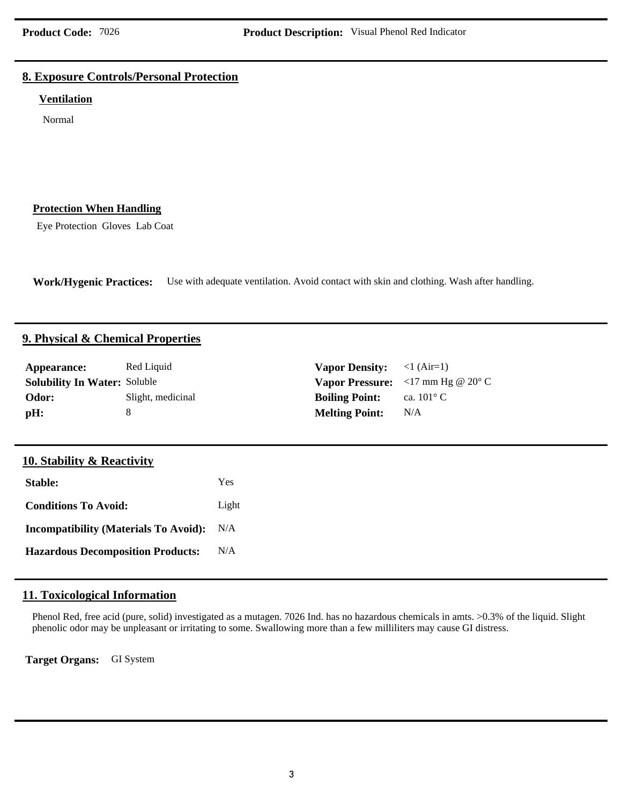## **8. Exposure Controls/Personal Protection**

#### **Ventilation**

Normal

## **Protection When Handling**

Eye Protection Gloves Lab Coat

**Work/Hygenic Practices:** Use with adequate ventilation. Avoid contact with skin and clothing. Wash after handling.

#### **9. Physical & Chemical Properties**

| Appearance:<br><b>Solubility In Water: Soluble</b><br>Odor:<br>pH: | Red Liquid<br>Slight, medicinal<br>8 |       | <b>Vapor Density:</b><br><b>Vapor Pressure:</b><br><b>Boiling Point:</b><br><b>Melting Point:</b> | $<1$ (Air=1)<br>$<$ 17 mm Hg @ 20 $\degree$ C<br>ca. $101^{\circ}$ C<br>N/A |
|--------------------------------------------------------------------|--------------------------------------|-------|---------------------------------------------------------------------------------------------------|-----------------------------------------------------------------------------|
| <b>10. Stability &amp; Reactivity</b>                              |                                      |       |                                                                                                   |                                                                             |
| <b>Stable:</b>                                                     |                                      | Yes   |                                                                                                   |                                                                             |
| <b>Conditions To Avoid:</b>                                        |                                      | Light |                                                                                                   |                                                                             |
| <b>Incompatibility (Materials To Avoid):</b>                       |                                      | N/A   |                                                                                                   |                                                                             |
| <b>Hazardous Decomposition Products:</b>                           |                                      | N/A   |                                                                                                   |                                                                             |
|                                                                    |                                      |       |                                                                                                   |                                                                             |

## **11. Toxicological Information**

Phenol Red, free acid (pure, solid) investigated as a mutagen. 7026 Ind. has no hazardous chemicals in amts. >0.3% of the liquid. Slight phenolic odor may be unpleasant or irritating to some. Swallowing more than a few milliliters may cause GI distress.

**Target Organs:** GI System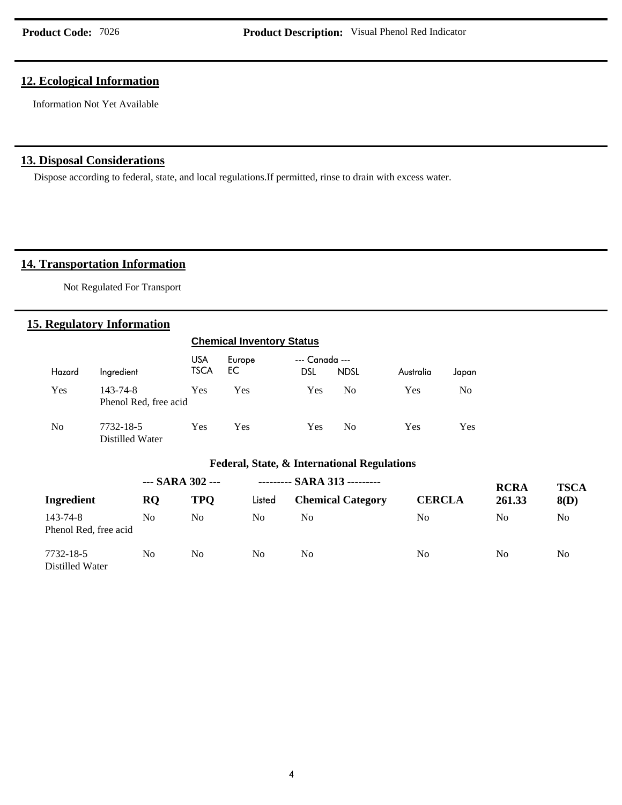## **12. Ecological Information**

Information Not Yet Available

## **13. Disposal Considerations**

Dispose according to federal, state, and local regulations.If permitted, rinse to drain with excess water.

## 14. Transportation Information

Not Regulated For Transport

## **15. Regulatory Information**

|                |                                   |                    | <b>Chemical Inventory Status</b>            |                              |                              |               |                |             |
|----------------|-----------------------------------|--------------------|---------------------------------------------|------------------------------|------------------------------|---------------|----------------|-------------|
| Hazard         | Ingredient                        | <b>USA</b><br>TSCA | Europe<br>EC                                | --- Canada ---<br><b>DSL</b> | <b>NDSL</b>                  | Australia     | Japan          |             |
| Yes            | 143-74-8<br>Phenol Red, free acid | <b>Yes</b>         | <b>Yes</b>                                  | <b>Yes</b>                   | N <sub>0</sub>               | <b>Yes</b>    | N <sub>0</sub> |             |
| N <sub>0</sub> | 7732-18-5<br>Distilled Water      | <b>Yes</b>         | <b>Yes</b>                                  | <b>Yes</b>                   | No.                          | Yes           | Yes            |             |
|                |                                   |                    | Federal, State, & International Regulations |                              |                              |               |                |             |
|                | $-$ SARA 302 $-$                  |                    |                                             |                              | --------- SARA 313 --------- |               |                | <b>RCRA</b> |
| Ingredient     | <b>RQ</b>                         | <b>TPQ</b>         | Listed                                      |                              | <b>Chemical Category</b>     | <b>CERCLA</b> |                | 261.33      |

| Ingredient                        | <b>RO</b> | <b>TPO</b> | Listed | <b>Chemical Category</b> | <b>CERCLA</b> | 261.33 | 8(D) |
|-----------------------------------|-----------|------------|--------|--------------------------|---------------|--------|------|
| 143-74-8<br>Phenol Red, free acid | No        | No         | No.    | No                       | No            | No     | No   |
| 7732-18-5<br>Distilled Water      | No        | No         | No.    | No                       | No            | No     | No   |

**TSCA**